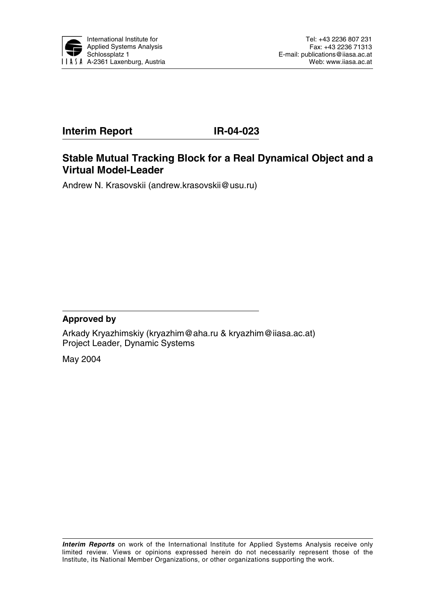

# **Interim Report IR-04-023**

# **Stable Mutual Tracking Block for a Real Dynamical Object and a Virtual Model-Leader**

Andrew N. Krasovskii (andrew.krasovskii@usu.ru)

### **Approved by**

Arkady Kryazhimskiy (kryazhim@aha.ru & kryazhim@iiasa.ac.at) Project Leader, Dynamic Systems

May 2004

**Interim Reports** on work of the International Institute for Applied Systems Analysis receive only limited review. Views or opinions expressed herein do not necessarily represent those of the Institute, its National Member Organizations, or other organizations supporting the work.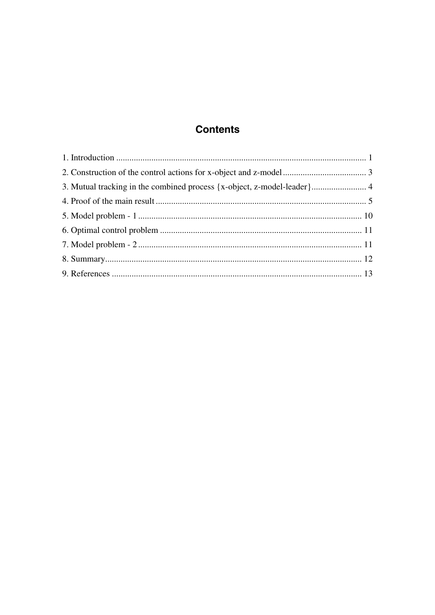# **Contents**

| 3. Mutual tracking in the combined process {x-object, z-model-leader} 4 |  |
|-------------------------------------------------------------------------|--|
|                                                                         |  |
|                                                                         |  |
|                                                                         |  |
|                                                                         |  |
|                                                                         |  |
|                                                                         |  |
|                                                                         |  |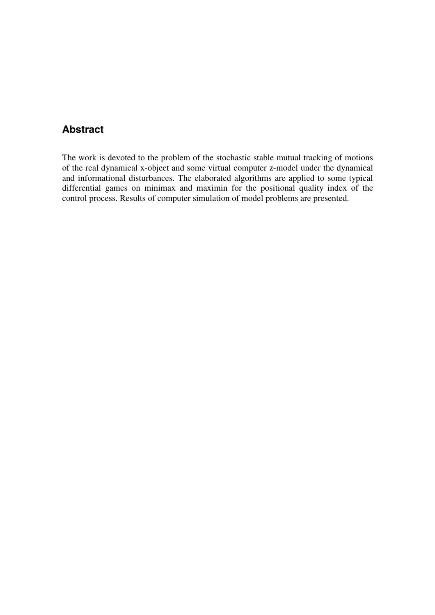# **Abstract**

The work is devoted to the problem of the stochastic stable mutual tracking of motions of the real dynamical x-object and some virtual computer z-model under the dynamical and informational disturbances. The elaborated algorithms are applied to some typical differential games on minimax and maximin for the positional quality index of the control process. Results of computer simulation of model problems are presented.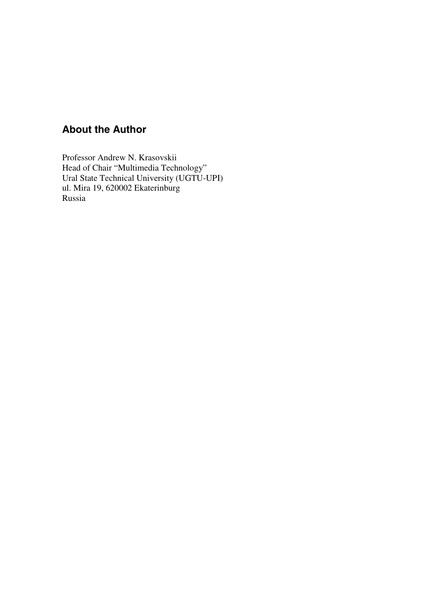# **About the Author**

Professor Andrew N. Krasovskii Head of Chair "Multimedia Technology" Ural State Technical University (UGTU-UPI) ul. Mira 19, 620002 Ekaterinburg Russia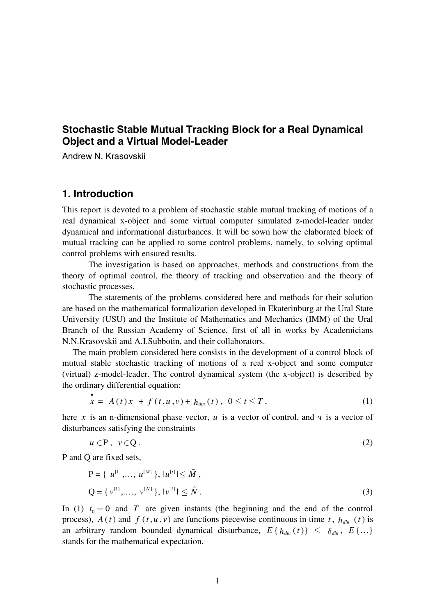## **Stochastic Stable Mutual Tracking Block for a Real Dynamical Object and a Virtual Model-Leader**

Andrew N. Krasovskii

#### **1. Introduction**

This report is devoted to a problem of stochastic stable mutual tracking of motions of a real dynamical x-object and some virtual computer simulated z-model-leader under dynamical and informational disturbances. It will be sown how the elaborated block of mutual tracking can be applied to some control problems, namely, to solving optimal control problems with ensured results.

 The investigation is based on approaches, methods and constructions from the theory of optimal control, the theory of tracking and observation and the theory of stochastic processes.

 The statements of the problems considered here and methods for their solution are based on the mathematical formalization developed in Ekaterinburg at the Ural State University (USU) and the Institute of Mathematics and Mechanics (IMM) of the Ural Branch of the Russian Academy of Science, first of all in works by Academicians N.N.Krasovskii and A.I.Subbotin, and their collaborators.

 The main problem considered here consists in the development of a control block of mutual stable stochastic tracking of motions of a real x-object and some computer (virtual) z-model-leader. The control dynamical system (the x-object) is described by the ordinary differential equation:

$$
x = A(t)x + f(t, u, v) + h_{dim}(t), \ 0 \le t \le T,
$$
 (1)

here *x* is an n-dimensional phase vector, *u* is a vector of control, and *v* is a vector of disturbances satisfying the constraints

$$
u \in \mathbf{P}, \ v \in \mathbf{Q} \tag{2}
$$

P and Q are fixed sets,

•

$$
P = \{ u^{[1]}, \dots, u^{[M]}\}, |u^{[i]}| \le \tilde{M},
$$
  
\n
$$
Q = \{ v^{[1]}, \dots, v^{[N]}\}, |v^{[i]}| \le \tilde{N}.
$$
\n(3)

In (1)  $t_0 = 0$  and *T* are given instants (the beginning and the end of the control process),  $A(t)$  and  $f(t, u, v)$  are functions piecewise continuous in time  $t$ ,  $h_{\text{dim}}(t)$  is an arbitrary random bounded dynamical disturbance,  $E\{h_{dim}(t)\}\leq \delta_{dim}$ ,  $E\{...\}$ stands for the mathematical expectation.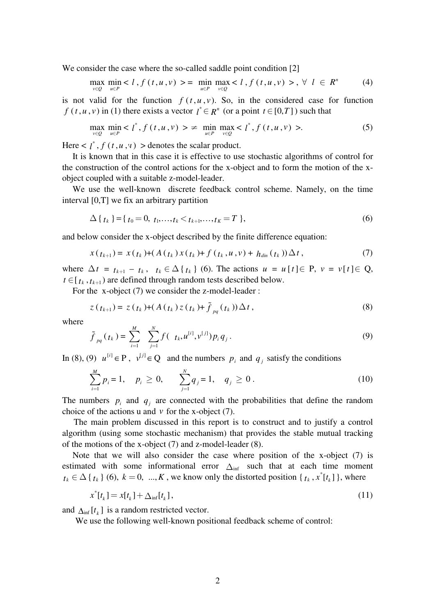We consider the case where the so-called saddle point condition [2]

$$
\max_{v \in Q} \min_{u \in P}  = \min_{u \in P} \max_{v \in Q} , \forall l \in R^{n}
$$
 (4)

is not valid for the function  $f(t, u, v)$ . So, in the considered case for function *f* (*t*, *u*, *v*) in (1) there exists a vector  $I^* \in R^n$  (or a point  $t \in [0, T]$ ) such that

$$
\max_{v \in Q} \min_{u \in P} \langle l^*, f(t, u, v) \rangle \ge \min_{u \in P} \max_{v \in Q} \langle l^*, f(t, u, v) \rangle. \tag{5}
$$

Here  $\langle l^*, f(t, u, v) \rangle$  be denotes the scalar product.

 It is known that in this case it is effective to use stochastic algorithms of control for the construction of the control actions for the x-object and to form the motion of the xobject coupled with a suitable z-model-leader.

 We use the well-known discrete feedback control scheme. Namely, on the time interval [0,T] we fix an arbitrary partition

$$
\Delta \{ t_k \} = \{ t_0 = 0, t_1, \dots, t_k < t_{k+1}, \dots, t_K = T \},
$$
\n<sup>(6)</sup>

and below consider the x-object described by the finite difference equation:

$$
x(t_{k+1}) = x(t_k) + (A(t_k)x(t_k) + f(t_k, u, v) + h_{\text{dim}}(t_k))\Delta t, \qquad (7)
$$

where  $\Delta t = t_{k+1} - t_k$ ,  $t_k \in \Delta \{t_k\}$  (6). The actions  $u = u[t] \in P$ ,  $v = v[t] \in Q$ ,  $t \in [t_k, t_{k+1})$  are defined through random tests described below.

For the x-object (7) we consider the z-model-leader :

$$
z(t_{k+1}) = z(t_k) + (A(t_k)z(t_k) + \tilde{f}_{pq}(t_k))\Delta t, \qquad (8)
$$

where

$$
\tilde{f}_{pq}(t_k) = \sum_{i=1}^{M} \sum_{j=1}^{N} f(t_k, u^{[i]}, v^{[j]}) p_i q_j.
$$
\n(9)

In (8), (9)  $u^{[i]} \in P$ ,  $v^{[j]} \in Q$  and the numbers  $p_i$  and  $q_j$  satisfy the conditions

$$
\sum_{i=1}^{M} p_i = 1, \quad p_i \ge 0, \qquad \sum_{j=1}^{N} q_j = 1, \quad q_j \ge 0.
$$
 (10)

The numbers  $p_i$  and  $q_i$  are connected with the probabilities that define the random choice of the actions u and  $v$  for the x-object  $(7)$ .

 The main problem discussed in this report is to construct and to justify a control algorithm (using some stochastic mechanism) that provides the stable mutual tracking of the motions of the x-object (7) and z-model-leader (8).

 Note that we will also consider the case where position of the x-object (7) is estimated with some informational error  $\Delta_{\text{inf}}$  such that at each time moment  $t_k \in \Delta \{t_k\}$  (6),  $k = 0, ..., K$ , we know only the distorted position  $\{t_k, x^* [t_k]\}$ , where

$$
x^*[t_k] = x[t_k] + \Delta_{\inf}[t_k],
$$
\n(11)

and  $\Delta_{\text{inf}} [t_k]$  is a random restricted vector.

We use the following well-known positional feedback scheme of control: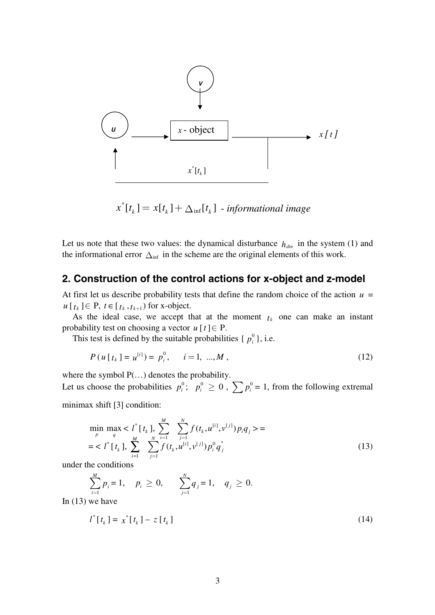

$$
x^*[t_k] = x[t_k] + \Delta_{\inf}[t_k] - \text{informational image}
$$

Let us note that these two values: the dynamical disturbance  $h_{\text{dim}}$  in the system (1) and the informational error  $\Delta_{\text{inf}}$  in the scheme are the original elements of this work.

## **2. Construction of the control actions for x-object and z-model**

At first let us describe probability tests that define the random choice of the action  $u =$  $u[t_k] \in P$ ,  $t \in [t_k, t_{k+1})$  for x-object.

As the ideal case, we accept that at the moment  $t_k$  one can make an instant probability test on choosing a vector  $u[t] \in P$ .

This test is defined by the suitable probabilities  $\{p_i^0\}$ , i.e.

$$
P(u[t_k] = u^{[i]}) = p_i^0, \quad i = 1, ..., M,
$$
\n(12)

where the symbol  $P(...)$  denotes the probability.

Let us choose the probabilities  $p_i^0$ ;  $p_i^0 \ge 0$ ,  $\sum p_i^0 = 1$ , from the following extremal minimax shift [3] condition:

$$
\min_{p} \max_{q} < l^* \left[ t_k \right], \sum_{j=1}^{M} \sum_{j=1}^{N} f(t_k, u^{[i]}, v^{[j]}) p_i q_j > = \\ < l^* \left[ t_k \right], \sum_{i=1}^{M} \sum_{j=1}^{N} f(t_k, u^{[i]}, v^{[j]}) p_i^0 q_j^* \tag{13}
$$

under the conditions

$$
\sum_{i=1}^{M} p_i = 1, \quad p_i \ge 0, \qquad \sum_{j=1}^{N} q_j = 1, \quad q_j \ge 0.
$$

In  $(13)$  we have

$$
l^*[t_k] = x^*[t_k] - z[t_k]
$$
\n(14)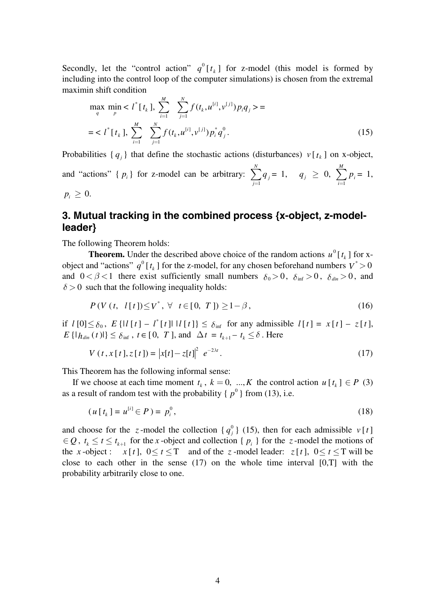Secondly, let the "control action"  $q^0[t_k]$  for z-model (this model is formed by including into the control loop of the computer simulations) is chosen from the extremal maximin shift condition

$$
\max_{q} \min_{p} < l^*[t_k], \sum_{i=1}^M \sum_{j=1}^N f(t_k, u^{[i]}, v^{[j]}) p_i q_j > = \\ < l^*[t_k], \sum_{i=1}^M \sum_{j=1}^N f(t_k, u^{[i]}, v^{[j]}) p_i^* q_j^0. \tag{15}
$$

Probabilities  $\{q_i\}$  that define the stochastic actions (disturbances)  $v[t_k]$  on x-object,

and "actions"  $\{p_i\}$  for z-model can be arbitrary: 1 *N j j q*  $\sum_{j=1} q_j = 1, \quad q_j \geq 0, \sum_{i=1}$ *M i i p*  $\sum_{i=1} p_i = 1,$  $p_i \geq 0$ .

# **3. Mutual tracking in the combined process {x-object, z-modelleader}**

The following Theorem holds:

**Theorem.** Under the described above choice of the random actions  $u^0[t_k]$  for xobject and "actions"  $q^0$  [ $t_k$ ] for the z-model, for any chosen beforehand numbers  $V^* > 0$ and  $0 < \beta < 1$  there exist sufficiently small numbers  $\delta_0 > 0$ ,  $\delta_{\text{inf}} > 0$ ,  $\delta_{\text{dim}} > 0$ , and  $\delta$  > 0 such that the following inequality holds:

$$
P(V(t, l[t]) \leq V^*, \forall t \in [0, T]) \geq 1 - \beta,
$$
\n(16)

if  $l[0] \leq \delta_0$ ,  $E\left\{l[l[t] - l^*[t] \mid l[t] \right\} \leq \delta_{\text{inf}}$  for any admissible  $l[t] = x[t] - z[t]$ ,  $E\left\{ | h_{\text{dim}}(t)| \right\} \leq \delta_{\text{inf}}$ ,  $t \in [0, T]$ , and  $\Delta t = t_{k+1} - t_k \leq \delta$ . Here

$$
V(t, x[t], z[t]) = |x[t] - z[t]|^{2} e^{-2\lambda t}.
$$
 (17)

This Theorem has the following informal sense:

If we choose at each time moment  $t_k$ ,  $k = 0$ , ..., K the control action  $u[t_k] \in P$  (3) as a result of random test with the probability  $\{p^0\}$  from (13), i.e.

$$
(u[tk] = u[i] \in P) = pi0,
$$
\n(18)

and choose for the *z*-model the collection  $\{q_j^0\}$  (15), then for each admissible  $v[t]$ ∈ *Q*,  $t_k$  ≤  $t$  ≤  $t_{k+1}$  for the *x*-object and collection {  $p_i$  } for the *z*-model the motions of the *x*-object:  $x[t]$ ,  $0 \le t \le T$  and of the *z*-model leader:  $z[t]$ ,  $0 \le t \le T$  will be close to each other in the sense (17) on the whole time interval [0,T] with the probability arbitrarily close to one.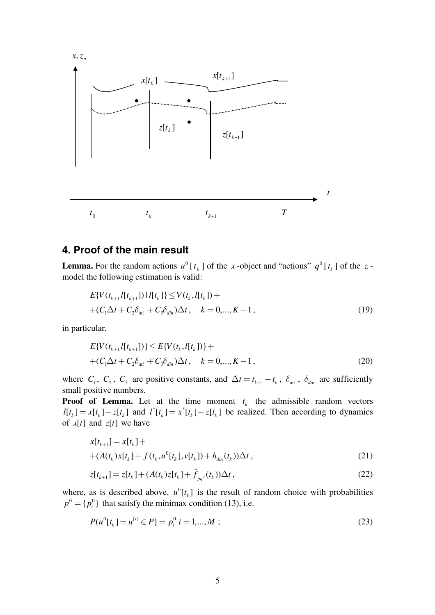

### **4. Proof of the main result**

**Lemma.** For the random actions  $u^0[t_k]$  of the *x*-object and "actions"  $q^0[t_k]$  of the *z*model the following estimation is valid:

$$
E\{V(t_{k+1},l[t_{k+1}])\mid l[t_k]\}\leq V(t_k,l[t_k]) ++(C_1\Delta t + C_2\delta_{\inf} + C_3\delta_{\dim})\Delta t, \quad k = 0,...,K-1,
$$
\n(19)

in particular,

$$
E\{V(t_{k+1},l[t_{k+1}])\} \le E\{V(t_k,l[t_k])\} ++(C_1\Delta t + C_2\delta_{\inf} + C_3\delta_{\dim})\Delta t, \quad k = 0,...,K-1,
$$
\n(20)

where  $C_1$ ,  $C_2$ ,  $C_3$  are positive constants, and  $\Delta t = t_{k+1} - t_k$ ,  $\delta_{\text{inf}}$ ,  $\delta_{\text{dim}}$  are sufficiently small positive numbers.

**Proof of Lemma.** Let at the time moment  $t_k$  the admissible random vectors  $l[t_k] = x[t_k] - z[t_k]$  and  $l^*[t_k] = x^*[t_k] - z[t_k]$  be realized. Then according to dynamics of  $x[t]$  and  $z[t]$  we have

$$
x[t_{k+1}] = x[t_k] ++(A(t_k)x[t_k] + f(t_k, u^0[t_k], v[t_k]) + h_{\text{dim}}(t_k))\Delta t,
$$
\n(21)

$$
z[t_{k+1}] = z[t_k] + (A(t_k)z[t_k] + \tilde{f}_{pq^0}(t_k))\Delta t, \qquad (22)
$$

where, as is described above,  $u^0[t_k]$  is the result of random choice with probabilities  $p^0 = \{p_i^0\}$  that satisfy the minimax condition (13), i.e.

$$
P(u^{0}[t_{k}] = u^{[i]} \in P] = p_{i}^{0} \quad i = 1,...,M \tag{23}
$$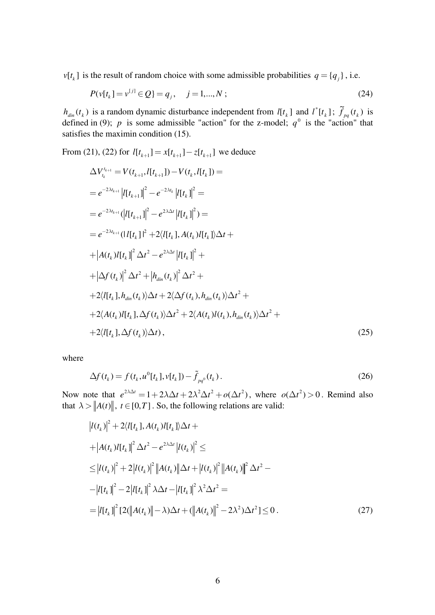$v[t_k]$  is the result of random choice with some admissible probabilities  $q = \{q_i\}$ , i.e.

$$
P(v[tk] = v[j] \in Q) = qj, \quad j = 1,...,N ;
$$
\n(24)

 $h_{\text{dim}}(t_k)$  is a random dynamic disturbance independent from  $l[t_k]$  and  $l^*[t_k]$ ;  $\tilde{f}_{pq}(t_k)$  is defined in (9); p is some admissible "action" for the z-model;  $q^0$  is the "action" that satisfies the maximin condition (15).

From (21), (22) for  $l[t_{k+1}] = x[t_{k+1}] - z[t_{k+1}]$  we deduce

$$
\Delta V_{t_k}^{t_{k+1}} = V(t_{k+1}, l[t_{k+1}]) - V(t_k, l[t_k]) =
$$
\n
$$
= e^{-2\lambda t_{k+1}} |l[t_{k+1}]|^2 - e^{-2\lambda t_k} |l[t_k]|^2 =
$$
\n
$$
= e^{-2\lambda t_{k+1}} (|l[t_{k+1}]|^2 - e^{2\lambda t_k} |l[t_k]|^2) =
$$
\n
$$
= e^{-2\lambda t_{k+1}} (|l[t_k]|^2 + 2\langle l[t_k], A(t_k)l[t_k] \rangle \Delta t +
$$
\n
$$
+ |A(t_k)l[t_k]|^2 \Delta t^2 - e^{2\lambda t_k} |l[t_k]|^2 +
$$
\n
$$
+ |\Delta f(t_k)|^2 \Delta t^2 + |h_{dim}(t_k)|^2 \Delta t^2 +
$$
\n
$$
+ 2\langle l[t_k], h_{dim}(t_k) \rangle \Delta t + 2\langle \Delta f(t_k), h_{dim}(t_k) \rangle \Delta t^2 +
$$
\n
$$
+ 2\langle A(t_k)l[t_k], \Delta f(t_k) \rangle \Delta t^2 + 2\langle A(t_k)l(t_k), h_{dim}(t_k) \rangle \Delta t^2 +
$$
\n
$$
+ 2\langle l[t_k], \Delta f(t_k) \rangle \Delta t), \qquad (25)
$$

where

$$
\Delta f(t_k) = f(t_k, u^0[t_k], v[t_k]) - \tilde{f}_{pq^0}(t_k). \tag{26}
$$

Now note that  $e^{2\lambda \Delta t} = 1 + 2\lambda \Delta t + 2\lambda^2 \Delta t^2 + o(\Delta t^2)$ , where  $o(\Delta t^2) > 0$ . Remind also that  $\lambda > ||A(t)||$ ,  $t \in [0, T]$ . So, the following relations are valid:

$$
|l(t_k)|^2 + 2\langle l[t_k], A(t_k)l[t_k] \rangle \Delta t +
$$
  
+ 
$$
|A(t_k)l[t_k]|^2 \Delta t^2 - e^{2\lambda \Delta t} |l(t_k)|^2 \le
$$
  

$$
\leq |l(t_k)|^2 + 2|l(t_k)|^2 ||A(t_k)||\Delta t + |l(t_k)|^2 ||A(t_k)||^2 \Delta t^2 -
$$
  

$$
- |l[t_k]|^2 - 2|l[t_k]|^2 \lambda \Delta t - |l[t_k]|^2 \lambda^2 \Delta t^2 =
$$
  

$$
= |l[t_k]|^2 [2(||A(t_k)|| - \lambda)\Delta t + (||A(t_k)||^2 - 2\lambda^2)\Delta t^2] \leq 0.
$$
 (27)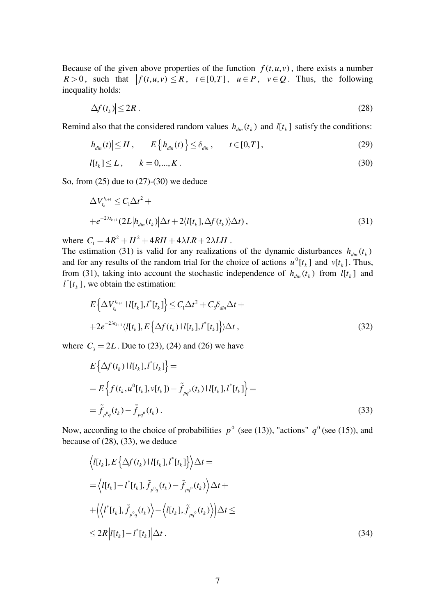Because of the given above properties of the function  $f(t, u, v)$ , there exists a number  $R > 0$ , such that  $|f(t, u, v)| \le R$ ,  $t \in [0, T]$ ,  $u \in P$ ,  $v \in Q$ . Thus, the following inequality holds:

$$
\left|\Delta f(t_k)\right| \le 2R\,. \tag{28}
$$

Remind also that the considered random values  $h_{\text{dim}}(t_k)$  and  $l[t_k]$  satisfy the conditions:

$$
\left| h_{\text{dim}}(t) \right| \le H, \qquad E\left\{ \left| h_{\text{dim}}(t) \right| \right\} \le \delta_{\text{dim}}, \qquad t \in [0, T], \tag{29}
$$

$$
l[t_k] \le L, \qquad k = 0, ..., K. \tag{30}
$$

So, from (25) due to (27)-(30) we deduce

$$
\Delta V_{t_k}^{t_{k+1}} \leq C_1 \Delta t^2 +
$$
  
+
$$
e^{-2\lambda t_{k+1}} (2L|h_{\text{dim}}(t_k)|\Delta t + 2\langle l[t_k], \Delta f(t_k)\rangle \Delta t),
$$
\n(31)

where  $C_1 = 4R^2 + H^2 + 4RH + 4\lambda LR + 2\lambda LH$ .

The estimation (31) is valid for any realizations of the dynamic disturbances  $h_{\text{dim}}(t_k)$ and for any results of the random trial for the choice of actions  $u^0[t_k]$  and  $v[t_k]$ . Thus, from (31), taking into account the stochastic independence of  $h_{\text{din}}(t_k)$  from  $l[t_k]$  and  $l^*[t_k]$ , we obtain the estimation:

$$
E\left\{\Delta V_{t_k}^{t_{k+1}} |l[t_k], l^*[t_k]\right\} \le C_1 \Delta t^2 + C_3 \delta_{\text{din}} \Delta t +
$$
  
+2e^{-2\lambda t\_{k+1}} \langle l[t\_k], E\left\{\Delta f(t\_k) |l[t\_k], l^\*[t\_k]\right\} \rangle \Delta t, (32)

where  $C_3 = 2L$ . Due to (23), (24) and (26) we have

$$
E\left\{\Delta f(t_k) | l[t_k], l^*[t_k] \right\} =
$$
  
=  $E\left\{ f(t_k, u^0[t_k], v[t_k]) - \tilde{f}_{pq^0}(t_k) | l[t_k], l^*[t_k] \right\} =$   
=  $\tilde{f}_{p^0q}(t_k) - \tilde{f}_{pq^0}(t_k)$ . (33)

Now, according to the choice of probabilities  $p^0$  (see (13)), "actions"  $q^0$  (see (15)), and because of (28), (33), we deduce

$$
\langle I[t_k], E\left\{\Delta f(t_k) \mid I[t_k], I^*[t_k] \right\} \rangle \Delta t =
$$
\n
$$
= \langle I[t_k] - I^*[t_k], \tilde{f}_{p^0q}(t_k) - \tilde{f}_{pq^0}(t_k) \rangle \Delta t +
$$
\n
$$
+ \langle \langle I^*[t_k], \tilde{f}_{p^0q}(t_k) \rangle - \langle I[t_k], \tilde{f}_{pq^0}(t_k) \rangle \rangle \Delta t \le
$$
\n
$$
\leq 2R \left| I[t_k] - I^*[t_k] \right| \Delta t.
$$
\n(34)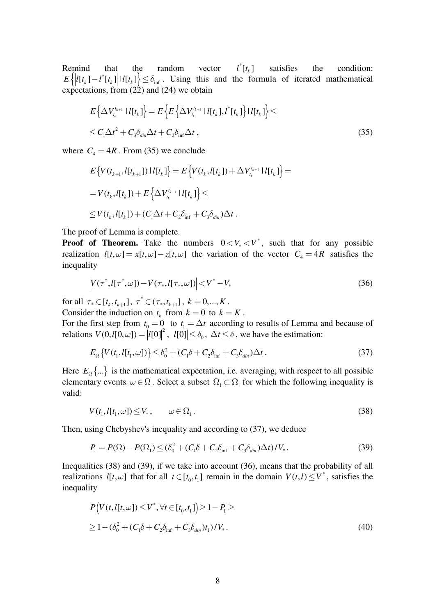Remind that the random vector  $l^*[t_k]$ satisfies the condition:  $E\left\{ |l[t_k] - l^*[t_k]|l[t_k] \right\} \leq \delta_{\inf}$ . Using this and the formula of iterated mathematical expectations, from  $(22)$  and  $(24)$  we obtain

$$
E\left\{\Delta V_{t_k}^{t_{k+1}}\left|l[t_k]\right\}\right\} = E\left\{E\left\{\Delta V_{t_k}^{t_{k+1}}\left|l[t_k],l^*[t_k]\right\}\right|l[t_k]\right\} \le
$$
  

$$
\leq C_1\Delta t^2 + C_3\delta_{\text{dim}}\Delta t + C_2\delta_{\text{inf}}\Delta t,
$$
 (35)

where  $C_4 = 4R$ . From (35) we conclude

$$
E\left\{V(t_{k+1},l[t_{k+1}])\,|\,l[t_k]\right\} = E\left\{V(t_k,l[t_k]) + \Delta V_{t_k}^{t_{k+1}}\,|\,l[t_k]\right\} =
$$
  
=  $V(t_k,l[t_k]) + E\left\{\Delta V_{t_k}^{t_{k+1}}\,|\,l[t_k]\right\} \le$   

$$
\leq V(t_k,l[t_k]) + (C_1\Delta t + C_2\delta_{\inf} + C_3\delta_{\dim})\Delta t.
$$

The proof of Lemma is complete.

**Proof of Theorem.** Take the numbers  $0 < V_* < V^*$ , such that for any possible realization  $l[t, \omega] = x[t, \omega] - z[t, \omega]$  the variation of the vector  $C_4 = 4R$  satisfies the inequality

$$
\left| V(\tau^*, l[\tau^*, \omega]) - V(\tau_*, l[\tau_*, \omega]) \right| < V^* - V_* \tag{36}
$$

for all  $\tau_* \in [t_k, t_{k+1}], \ \tau^* \in (\tau_*, t_{k+1}], \ k = 0, ..., K$ .

Consider the induction on  $t_k$  from  $k = 0$  to  $k = K$ .

For the first step from  $t_0 = 0$  to  $t_1 = \Delta t$  according to results of Lemma and because of relations  $V(0, l[0, \omega]) = |l[0]|^2$ ,  $|l[0]| \leq \delta_0$ ,  $\Delta t \leq \delta$ , we have the estimation:

$$
E_{\Omega}\left\{V(t_1, l[t_1, \omega])\right\} \le \delta_0^2 + (C_1\delta + C_2\delta_{\inf} + C_3\delta_{\dim})\Delta t. \tag{37}
$$

Here  $E_0 \{...\}$  is the mathematical expectation, i.e. averaging, with respect to all possible elementary events  $\omega \in \Omega$ . Select a subset  $\Omega_1 \subset \Omega$  for which the following inequality is valid:

$$
V(t_1, l[t_1, \omega]) \le V_*, \qquad \omega \in \Omega_1. \tag{38}
$$

Then, using Chebyshev's inequality and according to (37), we deduce

$$
P_1 = P(\Omega) - P(\Omega_1) \le (\delta_0^2 + (C_1 \delta + C_2 \delta_{\inf} + C_3 \delta_{\dim}) \Delta t) / V_*.
$$
 (39)

Inequalities (38) and (39), if we take into account (36), means that the probability of all realizations  $l[t, \omega]$  that for all  $t \in [t_0, t_1]$  remain in the domain  $V(t, l) \leq V^*$ , satisfies the inequality

$$
P\big(V(t, I[t, \omega]) \le V^*, \forall t \in [t_0, t_1] \big) \ge 1 - P_1 \ge
$$
  
 
$$
\ge 1 - (\delta_0^2 + (C_1 \delta + C_2 \delta_{\inf} + C_3 \delta_{\dim}) t_1) / V_*.
$$
 (40)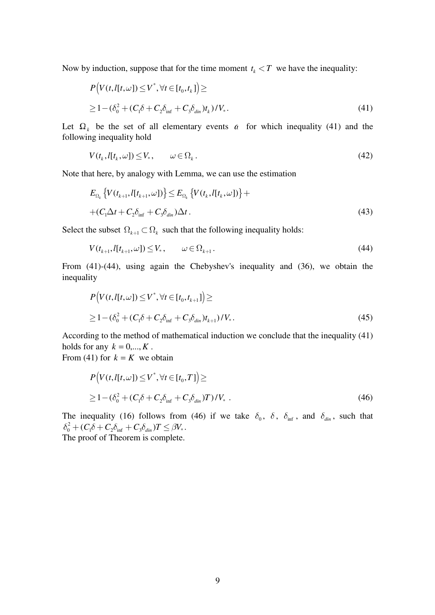Now by induction, suppose that for the time moment  $t_k < T$  we have the inequality:

$$
P\big(V(t, l[t, \omega]) \le V^*, \forall t \in [t_0, t_k]\big) \ge
$$
  
 
$$
\ge 1 - (\delta_0^2 + (C_1\delta + C_2\delta_{\inf} + C_3\delta_{\dim})t_k)/V_*.
$$
 (41)

Let  $\Omega_k$  be the set of all elementary events  $\alpha$  for which inequality (41) and the following inequality hold

$$
V(t_k, l[t_k, \omega]) \le V_*, \qquad \omega \in \Omega_k. \tag{42}
$$

Note that here, by analogy with Lemma, we can use the estimation

$$
E_{\Omega_k} \{ V(t_{k+1}, l[t_{k+1}, \omega]) \} \le E_{\Omega_k} \{ V(t_k, l[t_k, \omega]) \} +
$$
  
+ 
$$
(C_1 \Delta t + C_2 \delta_{\inf} + C_3 \delta_{\dim}) \Delta t.
$$
 (43)

Select the subset  $\Omega_{k+1} \subset \Omega_k$  such that the following inequality holds:

$$
V(t_{k+1}, l[t_{k+1}, \omega]) \le V_*, \qquad \omega \in \Omega_{k+1}.
$$
\n(44)

From (41)-(44), using again the Chebyshev's inequality and (36), we obtain the inequality

$$
P\big(V(t, I[t, \omega]) \le V^*, \forall t \in [t_0, t_{k+1}]\big) \ge
$$
  
 
$$
\ge 1 - (\delta_0^2 + (C_1\delta + C_2\delta_{\inf} + C_3\delta_{\dim})t_{k+1})/V_*.
$$
 (45)

According to the method of mathematical induction we conclude that the inequality (41) holds for any  $k = 0, ..., K$ . From (41) for  $k = K$  we obtain

$$
P\big(V(t, l[t, \omega]) \le V^*, \forall t \in [t_0, T]\big) \ge
$$
  
 
$$
\ge 1 - (\delta_0^2 + (C_1 \delta + C_2 \delta_{\inf} + C_3 \delta_{\dim})T)/V_* .
$$
 (46)

The inequality (16) follows from (46) if we take  $\delta_0$ ,  $\delta$ ,  $\delta_{\text{inf}}$ , and  $\delta_{\text{dim}}$ , such that  $\delta_0^2 + (C_1 \delta + C_2 \delta_{\inf} + C_3 \delta_{\dim})T \leq \beta V_*$ .

The proof of Theorem is complete.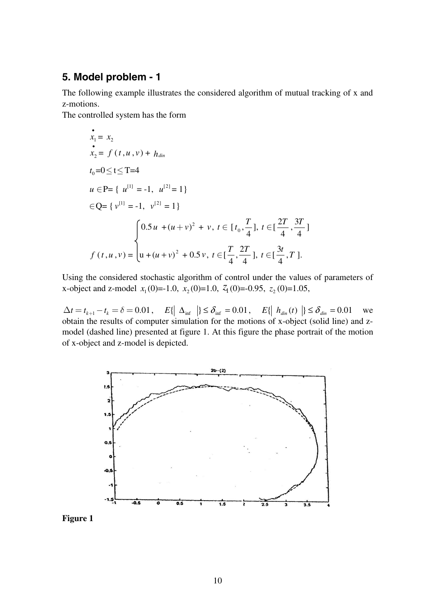## **5. Model problem - 1**

The following example illustrates the considered algorithm of mutual tracking of x and z-motions.

The controlled system has the form

$$
x_1 = x_2
$$
  
\n
$$
x_2 = f(t, u, v) + h_{dim}
$$
  
\n
$$
t_0 = 0 \le t \le T = 4
$$
  
\n
$$
u \in P = \{ u^{[1]} = -1, u^{[2]} = 1 \}
$$
  
\n
$$
\in Q = \{ v^{[1]} = -1, v^{[2]} = 1 \}
$$
  
\n
$$
\begin{cases}\n0.5u + (u + v)^2 + v, t \in [t_0, \frac{T}{4}], t \in [\frac{2T}{4}, \frac{3T}{4}] \\
f(t, u, v) = u + (u + v)^2 + 0.5v, t \in [\frac{T}{4}, \frac{2T}{4}], t \in [\frac{3t}{4}, T].\n\end{cases}
$$

Using the considered stochastic algorithm of control under the values of parameters of x-object and z-model  $x_1(0) = -1.0$ ,  $x_2(0) = 1.0$ ,  $\overline{z_1(0)} = -0.95$ ,  $\overline{z_2(0)} = 1.05$ ,

 $\Delta t = t_{k+1} - t_k = \delta = 0.01$ ,  $E\{\mid \Delta_{\text{inf}} \mid \} \leq \delta_{\text{inf}} = 0.01$ ,  $E\{\mid h_{\text{dim}}(t) \mid \} \leq \delta_{\text{dim}} = 0.01$  we obtain the results of computer simulation for the motions of x-object (solid line) and zmodel (dashed line) presented at figure 1. At this figure the phase portrait of the motion of x-object and z-model is depicted.



**Figure 1**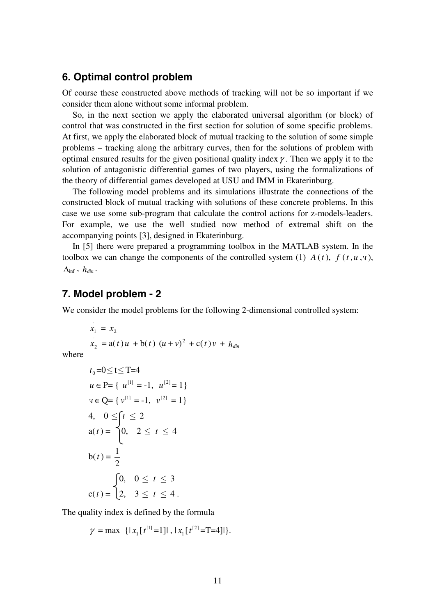### **6. Optimal control problem**

Of course these constructed above methods of tracking will not be so important if we consider them alone without some informal problem.

 So, in the next section we apply the elaborated universal algorithm (or block) of control that was constructed in the first section for solution of some specific problems. At first, we apply the elaborated block of mutual tracking to the solution of some simple problems – tracking along the arbitrary curves, then for the solutions of problem with optimal ensured results for the given positional quality index  $\gamma$ . Then we apply it to the solution of antagonistic differential games of two players, using the formalizations of the theory of differential games developed at USU and IMM in Ekaterinburg.

 The following model problems and its simulations illustrate the connections of the constructed block of mutual tracking with solutions of these concrete problems. In this case we use some sub-program that calculate the control actions for z-models-leaders. For example, we use the well studied now method of extremal shift on the accompanying points [3], designed in Ekaterinburg.

 In [5] there were prepared a programming toolbox in the MATLAB system. In the toolbox we can change the components of the controlled system (1)  $A(t)$ ,  $f(t, u, v)$ ,  $\Lambda$ <sub>inf</sub>,  $h_{dir}$ .

#### **7. Model problem - 2**

We consider the model problems for the following 2-dimensional controlled system:

$$
x_1 = x_2
$$
  

$$
x_2 = a(t)u + b(t) (u+v)^2 + c(t)v + h_{dim}
$$

where

$$
t_0=0 \le t \le T=4
$$
  
\n
$$
u \in P = \{ u^{[1]} = -1, u^{[2]} = 1 \}
$$
  
\n
$$
v \in Q = \{ v^{[1]} = -1, v^{[2]} = 1 \}
$$
  
\n4,  $0 \le t \le 2$   
\n
$$
a(t) = \begin{cases} 0, & 2 \le t \le 4 \\ 0, & 2 \le t \le 3 \end{cases}
$$
  
\n
$$
b(t) = \frac{1}{2}
$$
  
\n
$$
\begin{cases} 0, & 0 \le t \le 3 \\ 2, & 3 \le t \le 4 \end{cases}
$$

The quality index is defined by the formula

 $\gamma = \max \{ |x_1[t^{[1]}=1]|, |x_1[t^{[2]}=T=4]| \}.$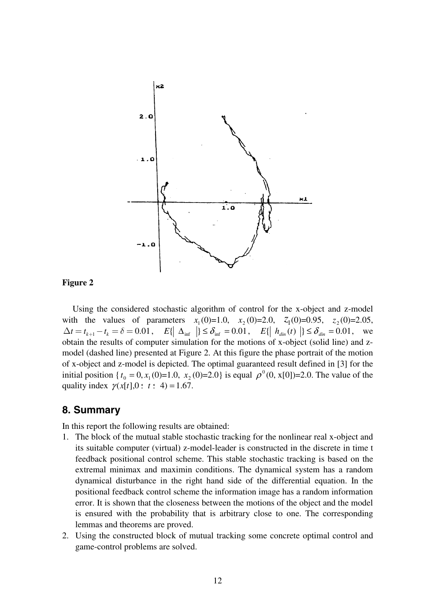

#### **Figure 2**

 Using the considered stochastic algorithm of control for the x-object and z-model with the values of parameters  $x_1(0)=1.0$ ,  $x_2(0)=2.0$ ,  $z_1(0)=0.95$ ,  $z_2(0)=2.05$ ,  $\Delta t = t_{k+1} - t_k = \delta = 0.01$ ,  $E\{\Delta_{\text{inf}} | \} \leq \delta_{\text{inf}} = 0.01$ ,  $E\{\Delta_{\text{inf}} | t \leq \delta_{\text{dim}} \} = 0.01$ , we obtain the results of computer simulation for the motions of x-object (solid line) and zmodel (dashed line) presented at Figure 2. At this figure the phase portrait of the motion of x-object and z-model is depicted. The optimal guaranteed result defined in [3] for the initial position { $t_0 = 0$ ,  $x_1(0)=1.0$ ,  $x_2(0)=2.0$ } is equal  $\rho^0(0, x[0])=2.0$ . The value of the quality index  $\gamma(x[t], 0 \le t \le 4) = 1.67$ .

### **8. Summary**

In this report the following results are obtained:

- 1. The block of the mutual stable stochastic tracking for the nonlinear real x-object and its suitable computer (virtual) z-model-leader is constructed in the discrete in time t feedback positional control scheme. This stable stochastic tracking is based on the extremal minimax and maximin conditions. The dynamical system has a random dynamical disturbance in the right hand side of the differential equation. In the positional feedback control scheme the information image has a random information error. It is shown that the closeness between the motions of the object and the model is ensured with the probability that is arbitrary close to one. The corresponding lemmas and theorems are proved.
- 2. Using the constructed block of mutual tracking some concrete optimal control and game-control problems are solved.